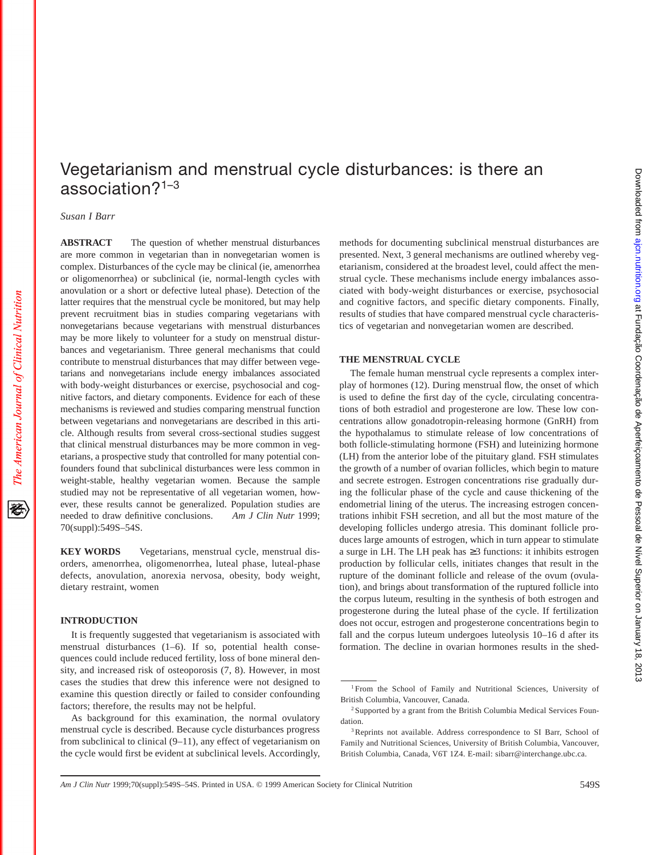# Vegetarianism and menstrual cycle disturbances: is there an association?1–3

*Susan I Barr*

**ABSTRACT** The question of whether menstrual disturbances are more common in vegetarian than in nonvegetarian women is complex. Disturbances of the cycle may be clinical (ie, amenorrhea or oligomenorrhea) or subclinical (ie, normal-length cycles with anovulation or a short or defective luteal phase). Detection of the latter requires that the menstrual cycle be monitored, but may help prevent recruitment bias in studies comparing vegetarians with nonvegetarians because vegetarians with menstrual disturbances may be more likely to volunteer for a study on menstrual disturbances and vegetarianism. Three general mechanisms that could contribute to menstrual disturbances that may differ between vegetarians and nonvegetarians include energy imbalances associated with body-weight disturbances or exercise, psychosocial and cognitive factors, and dietary components. Evidence for each of these mechanisms is reviewed and studies comparing menstrual function between vegetarians and nonvegetarians are described in this article. Although results from several cross-sectional studies suggest that clinical menstrual disturbances may be more common in vegetarians, a prospective study that controlled for many potential confounders found that subclinical disturbances were less common in weight-stable, healthy vegetarian women. Because the sample studied may not be representative of all vegetarian women, however, these results cannot be generalized. Population studies are needed to draw definitive conclusions. *Am J Clin Nutr* 1999; 70(suppl):549S–54S.

**KEY WORDS** Vegetarians, menstrual cycle, menstrual disorders, amenorrhea, oligomenorrhea, luteal phase, luteal-phase defects, anovulation, anorexia nervosa, obesity, body weight, dietary restraint, women

#### **INTRODUCTION**

It is frequently suggested that vegetarianism is associated with menstrual disturbances (1–6). If so, potential health consequences could include reduced fertility, loss of bone mineral density, and increased risk of osteoporosis (7, 8). However, in most cases the studies that drew this inference were not designed to examine this question directly or failed to consider confounding factors; therefore, the results may not be helpful.

As background for this examination, the normal ovulatory menstrual cycle is described. Because cycle disturbances progress from subclinical to clinical (9–11), any effect of vegetarianism on the cycle would first be evident at subclinical levels. Accordingly, methods for documenting subclinical menstrual disturbances are presented. Next, 3 general mechanisms are outlined whereby vegetarianism, considered at the broadest level, could affect the menstrual cycle. These mechanisms include energy imbalances associated with body-weight disturbances or exercise, psychosocial and cognitive factors, and specific dietary components. Finally, results of studies that have compared menstrual cycle characteristics of vegetarian and nonvegetarian women are described.

## **THE MENSTRUAL CYCLE**

The female human menstrual cycle represents a complex interplay of hormones (12). During menstrual flow, the onset of which is used to define the first day of the cycle, circulating concentrations of both estradiol and progesterone are low. These low concentrations allow gonadotropin-releasing hormone (GnRH) from the hypothalamus to stimulate release of low concentrations of both follicle-stimulating hormone (FSH) and luteinizing hormone (LH) from the anterior lobe of the pituitary gland. FSH stimulates the growth of a number of ovarian follicles, which begin to mature and secrete estrogen. Estrogen concentrations rise gradually during the follicular phase of the cycle and cause thickening of the endometrial lining of the uterus. The increasing estrogen concentrations inhibit FSH secretion, and all but the most mature of the developing follicles undergo atresia. This dominant follicle produces large amounts of estrogen, which in turn appear to stimulate a surge in LH. The LH peak has ≥3 functions: it inhibits estrogen production by follicular cells, initiates changes that result in the rupture of the dominant follicle and release of the ovum (ovulation), and brings about transformation of the ruptured follicle into the corpus luteum, resulting in the synthesis of both estrogen and progesterone during the luteal phase of the cycle. If fertilization does not occur, estrogen and progesterone concentrations begin to fall and the corpus luteum undergoes luteolysis 10–16 d after its formation. The decline in ovarian hormones results in the shed-

<sup>1</sup> From the School of Family and Nutritional Sciences, University of British Columbia, Vancouver, Canada.

<sup>2</sup> Supported by a grant from the British Columbia Medical Services Foundation.

<sup>&</sup>lt;sup>3</sup>Reprints not available. Address correspondence to SI Barr, School of Family and Nutritional Sciences, University of British Columbia, Vancouver, British Columbia, Canada, V6T 1Z4. E-mail: sibarr@interchange.ubc.ca.

*Am J Clin Nutr* 1999;70(suppl):549S–54S. Printed in USA. © 1999 American Society for Clinical Nutrition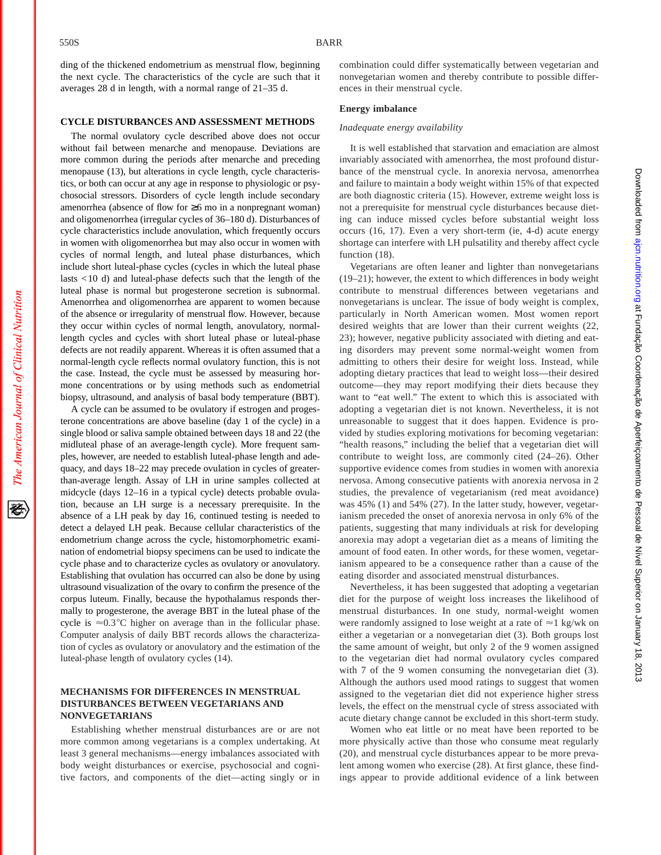The American Journal of Clinical Nutrition

ding of the thickened endometrium as menstrual flow, beginning the next cycle. The characteristics of the cycle are such that it averages 28 d in length, with a normal range of 21–35 d.

#### **CYCLE DISTURBANCES AND ASSESSMENT METHODS**

The normal ovulatory cycle described above does not occur without fail between menarche and menopause. Deviations are more common during the periods after menarche and preceding menopause (13), but alterations in cycle length, cycle characteristics, or both can occur at any age in response to physiologic or psychosocial stressors. Disorders of cycle length include secondary amenorrhea (absence of flow for ≥6 mo in a nonpregnant woman) and oligomenorrhea (irregular cycles of 36–180 d). Disturbances of cycle characteristics include anovulation, which frequently occurs in women with oligomenorrhea but may also occur in women with cycles of normal length, and luteal phase disturbances, which include short luteal-phase cycles (cycles in which the luteal phase lasts <10 d) and luteal-phase defects such that the length of the luteal phase is normal but progesterone secretion is subnormal. Amenorrhea and oligomenorrhea are apparent to women because of the absence or irregularity of menstrual flow. However, because they occur within cycles of normal length, anovulatory, normallength cycles and cycles with short luteal phase or luteal-phase defects are not readily apparent. Whereas it is often assumed that a normal-length cycle reflects normal ovulatory function, this is not the case. Instead, the cycle must be assessed by measuring hormone concentrations or by using methods such as endometrial biopsy, ultrasound, and analysis of basal body temperature (BBT).

A cycle can be assumed to be ovulatory if estrogen and progesterone concentrations are above baseline (day 1 of the cycle) in a single blood or saliva sample obtained between days 18 and 22 (the midluteal phase of an average-length cycle). More frequent samples, however, are needed to establish luteal-phase length and adequacy, and days 18–22 may precede ovulation in cycles of greaterthan-average length. Assay of LH in urine samples collected at midcycle (days 12–16 in a typical cycle) detects probable ovulation, because an LH surge is a necessary prerequisite. In the absence of a LH peak by day 16, continued testing is needed to detect a delayed LH peak. Because cellular characteristics of the endometrium change across the cycle, histomorphometric examination of endometrial biopsy specimens can be used to indicate the cycle phase and to characterize cycles as ovulatory or anovulatory. Establishing that ovulation has occurred can also be done by using ultrasound visualization of the ovary to confirm the presence of the corpus luteum. Finally, because the hypothalamus responds thermally to progesterone, the average BBT in the luteal phase of the cycle is  $\approx 0.3^{\circ}$ C higher on average than in the follicular phase. Computer analysis of daily BBT records allows the characterization of cycles as ovulatory or anovulatory and the estimation of the luteal-phase length of ovulatory cycles (14).

## **MECHANISMS FOR DIFFERENCES IN MENSTRUAL DISTURBANCES BETWEEN VEGETARIANS AND NONVEGETARIANS**

Establishing whether menstrual disturbances are or are not more common among vegetarians is a complex undertaking. At least 3 general mechanisms—energy imbalances associated with body weight disturbances or exercise, psychosocial and cognitive factors, and components of the diet—acting singly or in combination could differ systematically between vegetarian and nonvegetarian women and thereby contribute to possible differences in their menstrual cycle.

#### **Energy imbalance**

#### *Inadequate energy availability*

It is well established that starvation and emaciation are almost invariably associated with amenorrhea, the most profound disturbance of the menstrual cycle. In anorexia nervosa, amenorrhea and failure to maintain a body weight within 15% of that expected are both diagnostic criteria (15). However, extreme weight loss is not a prerequisite for menstrual cycle disturbances because dieting can induce missed cycles before substantial weight loss occurs (16, 17). Even a very short-term (ie, 4-d) acute energy shortage can interfere with LH pulsatility and thereby affect cycle function  $(18)$ .

Vegetarians are often leaner and lighter than nonvegetarians (19–21); however, the extent to which differences in body weight contribute to menstrual differences between vegetarians and nonvegetarians is unclear. The issue of body weight is complex, particularly in North American women. Most women report desired weights that are lower than their current weights (22, 23); however, negative publicity associated with dieting and eating disorders may prevent some normal-weight women from admitting to others their desire for weight loss. Instead, while adopting dietary practices that lead to weight loss—their desired outcome—they may report modifying their diets because they want to "eat well." The extent to which this is associated with adopting a vegetarian diet is not known. Nevertheless, it is not unreasonable to suggest that it does happen. Evidence is provided by studies exploring motivations for becoming vegetarian: "health reasons," including the belief that a vegetarian diet will contribute to weight loss, are commonly cited (24–26). Other supportive evidence comes from studies in women with anorexia nervosa. Among consecutive patients with anorexia nervosa in 2 studies, the prevalence of vegetarianism (red meat avoidance) was 45% (1) and 54% (27). In the latter study, however, vegetarianism preceded the onset of anorexia nervosa in only 6% of the patients, suggesting that many individuals at risk for developing anorexia may adopt a vegetarian diet as a means of limiting the amount of food eaten. In other words, for these women, vegetarianism appeared to be a consequence rather than a cause of the eating disorder and associated menstrual disturbances.

Nevertheless, it has been suggested that adopting a vegetarian diet for the purpose of weight loss increases the likelihood of menstrual disturbances. In one study, normal-weight women were randomly assigned to lose weight at a rate of  $\approx$  1 kg/wk on either a vegetarian or a nonvegetarian diet (3). Both groups lost the same amount of weight, but only 2 of the 9 women assigned to the vegetarian diet had normal ovulatory cycles compared with 7 of the 9 women consuming the nonvegetarian diet (3). Although the authors used mood ratings to suggest that women assigned to the vegetarian diet did not experience higher stress levels, the effect on the menstrual cycle of stress associated with acute dietary change cannot be excluded in this short-term study.

Women who eat little or no meat have been reported to be more physically active than those who consume meat regularly (20), and menstrual cycle disturbances appear to be more prevalent among women who exercise (28). At first glance, these findings appear to provide additional evidence of a link between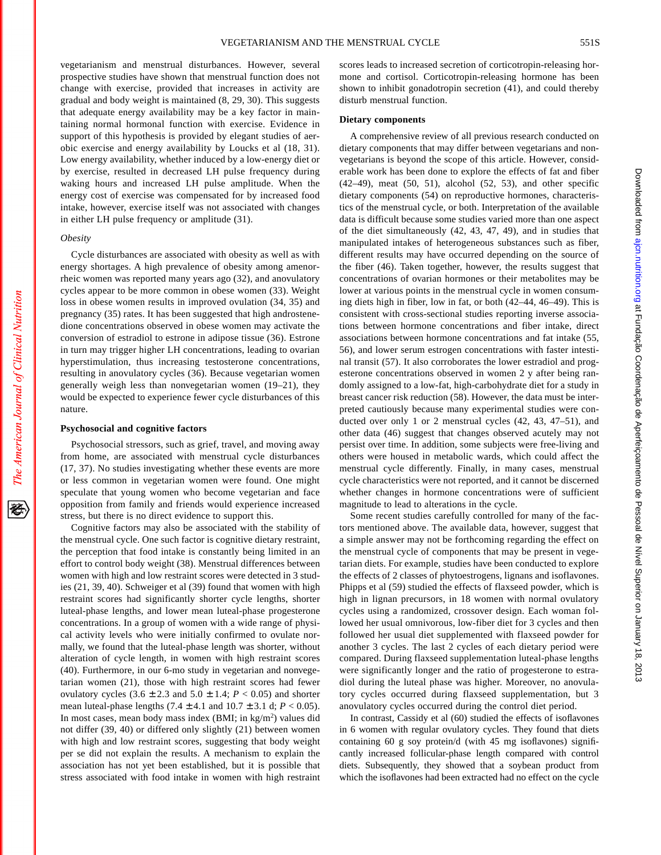vegetarianism and menstrual disturbances. However, several prospective studies have shown that menstrual function does not change with exercise, provided that increases in activity are gradual and body weight is maintained (8, 29, 30). This suggests that adequate energy availability may be a key factor in maintaining normal hormonal function with exercise. Evidence in support of this hypothesis is provided by elegant studies of aerobic exercise and energy availability by Loucks et al (18, 31). Low energy availability, whether induced by a low-energy diet or by exercise, resulted in decreased LH pulse frequency during waking hours and increased LH pulse amplitude. When the energy cost of exercise was compensated for by increased food intake, however, exercise itself was not associated with changes in either LH pulse frequency or amplitude (31).

#### *Obesity*

Cycle disturbances are associated with obesity as well as with energy shortages. A high prevalence of obesity among amenorrheic women was reported many years ago (32), and anovulatory cycles appear to be more common in obese women (33). Weight loss in obese women results in improved ovulation (34, 35) and pregnancy (35) rates. It has been suggested that high androstenedione concentrations observed in obese women may activate the conversion of estradiol to estrone in adipose tissue (36). Estrone in turn may trigger higher LH concentrations, leading to ovarian hyperstimulation, thus increasing testosterone concentrations, resulting in anovulatory cycles (36). Because vegetarian women generally weigh less than nonvegetarian women (19–21), they would be expected to experience fewer cycle disturbances of this nature.

## **Psychosocial and cognitive factors**

Psychosocial stressors, such as grief, travel, and moving away from home, are associated with menstrual cycle disturbances (17, 37). No studies investigating whether these events are more or less common in vegetarian women were found. One might speculate that young women who become vegetarian and face opposition from family and friends would experience increased stress, but there is no direct evidence to support this.

Cognitive factors may also be associated with the stability of the menstrual cycle. One such factor is cognitive dietary restraint, the perception that food intake is constantly being limited in an effort to control body weight (38). Menstrual differences between women with high and low restraint scores were detected in 3 studies (21, 39, 40). Schweiger et al (39) found that women with high restraint scores had significantly shorter cycle lengths, shorter luteal-phase lengths, and lower mean luteal-phase progesterone concentrations. In a group of women with a wide range of physical activity levels who were initially confirmed to ovulate normally, we found that the luteal-phase length was shorter, without alteration of cycle length, in women with high restraint scores (40). Furthermore, in our 6-mo study in vegetarian and nonvegetarian women (21), those with high restraint scores had fewer ovulatory cycles  $(3.6 \pm 2.3 \text{ and } 5.0 \pm 1.4; P < 0.05)$  and shorter mean luteal-phase lengths  $(7.4 \pm 4.1 \text{ and } 10.7 \pm 3.1 \text{ d}; P < 0.05)$ . In most cases, mean body mass index (BMI; in kg/m<sup>2</sup>) values did not differ (39, 40) or differed only slightly (21) between women with high and low restraint scores, suggesting that body weight per se did not explain the results. A mechanism to explain the association has not yet been established, but it is possible that stress associated with food intake in women with high restraint scores leads to increased secretion of corticotropin-releasing hormone and cortisol. Corticotropin-releasing hormone has been shown to inhibit gonadotropin secretion (41), and could thereby disturb menstrual function.

#### **Dietary components**

A comprehensive review of all previous research conducted on dietary components that may differ between vegetarians and nonvegetarians is beyond the scope of this article. However, considerable work has been done to explore the effects of fat and fiber (42–49), meat (50, 51), alcohol (52, 53), and other specific dietary components (54) on reproductive hormones, characteristics of the menstrual cycle, or both. Interpretation of the available data is difficult because some studies varied more than one aspect of the diet simultaneously (42, 43, 47, 49), and in studies that manipulated intakes of heterogeneous substances such as fiber, different results may have occurred depending on the source of the fiber (46). Taken together, however, the results suggest that concentrations of ovarian hormones or their metabolites may be lower at various points in the menstrual cycle in women consuming diets high in fiber, low in fat, or both (42–44, 46–49). This is consistent with cross-sectional studies reporting inverse associations between hormone concentrations and fiber intake, direct associations between hormone concentrations and fat intake (55, 56), and lower serum estrogen concentrations with faster intestinal transit (57). It also corroborates the lower estradiol and progesterone concentrations observed in women 2 y after being randomly assigned to a low-fat, high-carbohydrate diet for a study in breast cancer risk reduction (58). However, the data must be interpreted cautiously because many experimental studies were conducted over only 1 or 2 menstrual cycles (42, 43, 47–51), and other data (46) suggest that changes observed acutely may not persist over time. In addition, some subjects were free-living and others were housed in metabolic wards, which could affect the menstrual cycle differently. Finally, in many cases, menstrual cycle characteristics were not reported, and it cannot be discerned whether changes in hormone concentrations were of sufficient magnitude to lead to alterations in the cycle.

Some recent studies carefully controlled for many of the factors mentioned above. The available data, however, suggest that a simple answer may not be forthcoming regarding the effect on the menstrual cycle of components that may be present in vegetarian diets. For example, studies have been conducted to explore the effects of 2 classes of phytoestrogens, lignans and isoflavones. Phipps et al (59) studied the effects of flaxseed powder, which is high in lignan precursors, in 18 women with normal ovulatory cycles using a randomized, crossover design. Each woman followed her usual omnivorous, low-fiber diet for 3 cycles and then followed her usual diet supplemented with flaxseed powder for another 3 cycles. The last 2 cycles of each dietary period were compared. During flaxseed supplementation luteal-phase lengths were significantly longer and the ratio of progesterone to estradiol during the luteal phase was higher. Moreover, no anovulatory cycles occurred during flaxseed supplementation, but 3 anovulatory cycles occurred during the control diet period.

In contrast, Cassidy et al (60) studied the effects of isoflavones in 6 women with regular ovulatory cycles. They found that diets containing 60 g soy protein/d (with 45 mg isoflavones) significantly increased follicular-phase length compared with control diets. Subsequently, they showed that a soybean product from which the isoflavones had been extracted had no effect on the cycle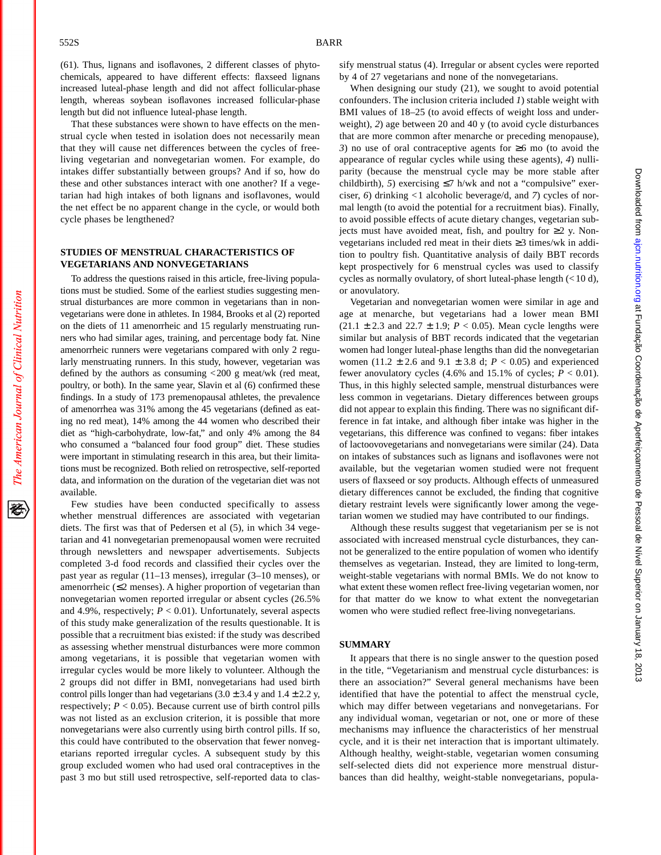The American Journal of Clinical Nutrition

(61). Thus, lignans and isoflavones, 2 different classes of phytochemicals, appeared to have different effects: flaxseed lignans increased luteal-phase length and did not affect follicular-phase length, whereas soybean isoflavones increased follicular-phase length but did not influence luteal-phase length.

That these substances were shown to have effects on the menstrual cycle when tested in isolation does not necessarily mean that they will cause net differences between the cycles of freeliving vegetarian and nonvegetarian women. For example, do intakes differ substantially between groups? And if so, how do these and other substances interact with one another? If a vegetarian had high intakes of both lignans and isoflavones, would the net effect be no apparent change in the cycle, or would both cycle phases be lengthened?

### **STUDIES OF MENSTRUAL CHARACTERISTICS OF VEGETARIANS AND NONVEGETARIANS**

To address the questions raised in this article, free-living populations must be studied. Some of the earliest studies suggesting menstrual disturbances are more common in vegetarians than in nonvegetarians were done in athletes. In 1984, Brooks et al (2) reported on the diets of 11 amenorrheic and 15 regularly menstruating runners who had similar ages, training, and percentage body fat. Nine amenorrheic runners were vegetarians compared with only 2 regularly menstruating runners. In this study, however, vegetarian was defined by the authors as consuming <200 g meat/wk (red meat, poultry, or both). In the same year, Slavin et al (6) confirmed these findings. In a study of 173 premenopausal athletes, the prevalence of amenorrhea was 31% among the 45 vegetarians (defined as eating no red meat), 14% among the 44 women who described their diet as "high-carbohydrate, low-fat," and only 4% among the 84 who consumed a "balanced four food group" diet. These studies were important in stimulating research in this area, but their limitations must be recognized. Both relied on retrospective, self-reported data, and information on the duration of the vegetarian diet was not available.

Few studies have been conducted specifically to assess whether menstrual differences are associated with vegetarian diets. The first was that of Pedersen et al (5), in which 34 vegetarian and 41 nonvegetarian premenopausal women were recruited through newsletters and newspaper advertisements. Subjects completed 3-d food records and classified their cycles over the past year as regular (11–13 menses), irregular (3–10 menses), or amenorrheic (≤2 menses). A higher proportion of vegetarian than nonvegetarian women reported irregular or absent cycles (26.5% and 4.9%, respectively;  $P < 0.01$ ). Unfortunately, several aspects of this study make generalization of the results questionable. It is possible that a recruitment bias existed: if the study was described as assessing whether menstrual disturbances were more common among vegetarians, it is possible that vegetarian women with irregular cycles would be more likely to volunteer. Although the 2 groups did not differ in BMI, nonvegetarians had used birth control pills longer than had vegetarians  $(3.0 \pm 3.4 \text{ y}$  and  $1.4 \pm 2.2 \text{ y}$ , respectively;  $P < 0.05$ ). Because current use of birth control pills was not listed as an exclusion criterion, it is possible that more nonvegetarians were also currently using birth control pills. If so, this could have contributed to the observation that fewer nonvegetarians reported irregular cycles. A subsequent study by this group excluded women who had used oral contraceptives in the past 3 mo but still used retrospective, self-reported data to classify menstrual status (4). Irregular or absent cycles were reported by 4 of 27 vegetarians and none of the nonvegetarians.

When designing our study (21), we sought to avoid potential confounders. The inclusion criteria included *1*) stable weight with BMI values of 18–25 (to avoid effects of weight loss and underweight), *2*) age between 20 and 40 y (to avoid cycle disturbances that are more common after menarche or preceding menopause), *3*) no use of oral contraceptive agents for ≥6 mo (to avoid the appearance of regular cycles while using these agents), *4*) nulliparity (because the menstrual cycle may be more stable after childbirth), 5) exercising  $\leq$ 7 h/wk and not a "compulsive" exerciser, *6*) drinking <1 alcoholic beverage/d, and *7*) cycles of normal length (to avoid the potential for a recruitment bias). Finally, to avoid possible effects of acute dietary changes, vegetarian subjects must have avoided meat, fish, and poultry for  $\geq 2$  y. Nonvegetarians included red meat in their diets ≥3 times/wk in addition to poultry fish. Quantitative analysis of daily BBT records kept prospectively for 6 menstrual cycles was used to classify cycles as normally ovulatory, of short luteal-phase length (< 10 d), or anovulatory.

Vegetarian and nonvegetarian women were similar in age and age at menarche, but vegetarians had a lower mean BMI  $(21.1 \pm 2.3 \text{ and } 22.7 \pm 1.9; P < 0.05)$ . Mean cycle lengths were similar but analysis of BBT records indicated that the vegetarian women had longer luteal-phase lengths than did the nonvegetarian women (11.2  $\pm$  2.6 and 9.1  $\pm$  3.8 d; *P* < 0.05) and experienced fewer anovulatory cycles  $(4.6\%$  and  $15.1\%$  of cycles;  $P < 0.01$ ). Thus, in this highly selected sample, menstrual disturbances were less common in vegetarians. Dietary differences between groups did not appear to explain this finding. There was no significant difference in fat intake, and although fiber intake was higher in the vegetarians, this difference was confined to vegans: fiber intakes of lactoovovegetarians and nonvegetarians were similar (24). Data on intakes of substances such as lignans and isoflavones were not available, but the vegetarian women studied were not frequent users of flaxseed or soy products. Although effects of unmeasured dietary differences cannot be excluded, the finding that cognitive dietary restraint levels were significantly lower among the vegetarian women we studied may have contributed to our findings.

Although these results suggest that vegetarianism per se is not associated with increased menstrual cycle disturbances, they cannot be generalized to the entire population of women who identify themselves as vegetarian. Instead, they are limited to long-term, weight-stable vegetarians with normal BMIs. We do not know to what extent these women reflect free-living vegetarian women, nor for that matter do we know to what extent the nonvegetarian women who were studied reflect free-living nonvegetarians.

#### **SUMMARY**

It appears that there is no single answer to the question posed in the title, "Vegetarianism and menstrual cycle disturbances: is there an association?" Several general mechanisms have been identified that have the potential to affect the menstrual cycle, which may differ between vegetarians and nonvegetarians. For any individual woman, vegetarian or not, one or more of these mechanisms may influence the characteristics of her menstrual cycle, and it is their net interaction that is important ultimately. Although healthy, weight-stable, vegetarian women consuming self-selected diets did not experience more menstrual disturbances than did healthy, weight-stable nonvegetarians, popula-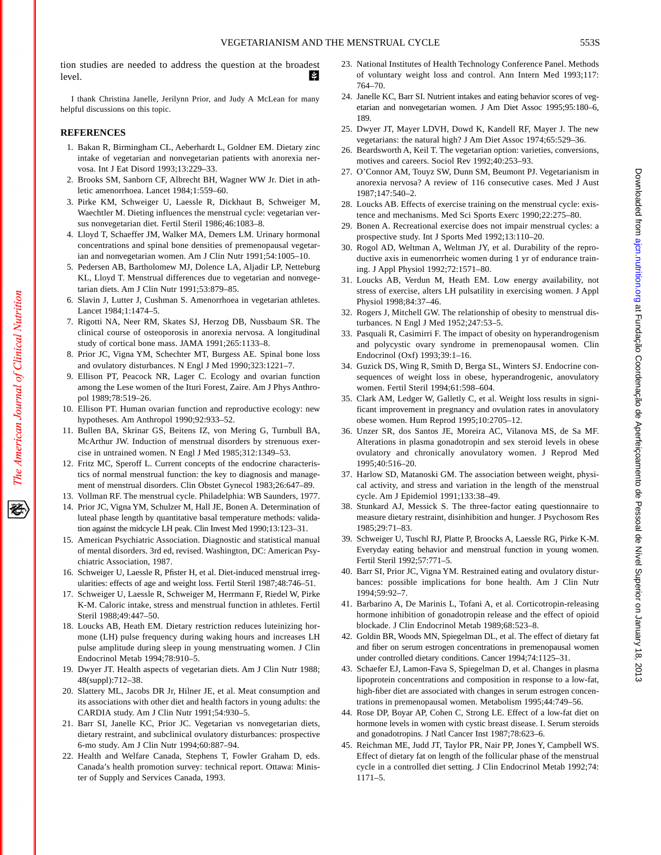tion studies are needed to address the question at the broadest level. И

I thank Christina Janelle, Jerilynn Prior, and Judy A McLean for many helpful discussions on this topic.

### **REFERENCES**

- 1. Bakan R, Birmingham CL, Aeberhardt L, Goldner EM. Dietary zinc intake of vegetarian and nonvegetarian patients with anorexia nervosa. Int J Eat Disord 1993;13:229–33.
- 2. Brooks SM, Sanborn CF, Albrecht BH, Wagner WW Jr. Diet in athletic amenorrhoea. Lancet 1984;1:559–60.
- 3. Pirke KM, Schweiger U, Laessle R, Dickhaut B, Schweiger M, Waechtler M. Dieting influences the menstrual cycle: vegetarian versus nonvegetarian diet. Fertil Steril 1986;46:1083–8.
- 4. Lloyd T, Schaeffer JM, Walker MA, Demers LM. Urinary hormonal concentrations and spinal bone densities of premenopausal vegetarian and nonvegetarian women. Am J Clin Nutr 1991;54:1005–10.
- 5. Pedersen AB, Bartholomew MJ, Dolence LA, Aljadir LP, Netteburg KL, Lloyd T. Menstrual differences due to vegetarian and nonvegetarian diets. Am J Clin Nutr 1991;53:879–85.
- 6. Slavin J, Lutter J, Cushman S. Amenorrhoea in vegetarian athletes. Lancet 1984;1:1474–5.
- 7. Rigotti NA, Neer RM, Skates SJ, Herzog DB, Nussbaum SR. The clinical course of osteoporosis in anorexia nervosa. A longitudinal study of cortical bone mass. JAMA 1991;265:1133–8.
- 8. Prior JC, Vigna YM, Schechter MT, Burgess AE. Spinal bone loss and ovulatory disturbances. N Engl J Med 1990;323:1221–7.
- 9. Ellison PT, Peacock NR, Lager C. Ecology and ovarian function among the Lese women of the Ituri Forest, Zaire. Am J Phys Anthropol 1989;78:519–26.
- 10. Ellison PT. Human ovarian function and reproductive ecology: new hypotheses. Am Anthropol 1990;92:933–52.
- 11. Bullen BA, Skrinar GS, Beitens IZ, von Mering G, Turnbull BA, McArthur JW. Induction of menstrual disorders by strenuous exercise in untrained women. N Engl J Med 1985;312:1349–53.
- 12. Fritz MC, Speroff L. Current concepts of the endocrine characteristics of normal menstrual function: the key to diagnosis and management of menstrual disorders. Clin Obstet Gynecol 1983;26:647–89.
- 13. Vollman RF. The menstrual cycle. Philadelphia: WB Saunders, 1977.
- 14. Prior JC, Vigna YM, Schulzer M, Hall JE, Bonen A. Determination of luteal phase length by quantitative basal temperature methods: validation against the midcycle LH peak. Clin Invest Med 1990;13:123–31.
- 15. American Psychiatric Association. Diagnostic and statistical manual of mental disorders. 3rd ed, revised. Washington, DC: American Psychiatric Association, 1987.
- 16. Schweiger U, Laessle R, Pfister H, et al. Diet-induced menstrual irregularities: effects of age and weight loss. Fertil Steril 1987;48:746–51.
- 17. Schweiger U, Laessle R, Schweiger M, Herrmann F, Riedel W, Pirke K-M. Caloric intake, stress and menstrual function in athletes. Fertil Steril 1988;49:447–50.
- 18. Loucks AB, Heath EM. Dietary restriction reduces luteinizing hormone (LH) pulse frequency during waking hours and increases LH pulse amplitude during sleep in young menstruating women. J Clin Endocrinol Metab 1994;78:910–5.
- 19. Dwyer JT. Health aspects of vegetarian diets. Am J Clin Nutr 1988; 48(suppl):712–38.
- 20. Slattery ML, Jacobs DR Jr, Hilner JE, et al. Meat consumption and its associations with other diet and health factors in young adults: the CARDIA study. Am J Clin Nutr 1991;54:930–5.
- 21. Barr SI, Janelle KC, Prior JC. Vegetarian vs nonvegetarian diets, dietary restraint, and subclinical ovulatory disturbances: prospective 6-mo study. Am J Clin Nutr 1994;60:887–94.
- 22. Health and Welfare Canada, Stephens T, Fowler Graham D, eds. Canada's health promotion survey: technical report. Ottawa: Minister of Supply and Services Canada, 1993.
- 23. National Institutes of Health Technology Conference Panel. Methods of voluntary weight loss and control. Ann Intern Med 1993;117: 764–70.
- 24. Janelle KC, Barr SI. Nutrient intakes and eating behavior scores of vegetarian and nonvegetarian women. J Am Diet Assoc 1995;95:180–6, 189.
- 25. Dwyer JT, Mayer LDVH, Dowd K, Kandell RF, Mayer J. The new vegetarians: the natural high? J Am Diet Assoc 1974;65:529–36.
- 26. Beardsworth A, Keil T. The vegetarian option: varieties, conversions, motives and careers. Sociol Rev 1992;40:253–93.
- 27. O'Connor AM, Touyz SW, Dunn SM, Beumont PJ. Vegetarianism in anorexia nervosa? A review of 116 consecutive cases. Med J Aust 1987;147:540–2.
- 28. Loucks AB. Effects of exercise training on the menstrual cycle: existence and mechanisms. Med Sci Sports Exerc 1990;22:275–80.
- 29. Bonen A. Recreational exercise does not impair menstrual cycles: a prospective study. Int J Sports Med 1992;13:110–20.
- 30. Rogol AD, Weltman A, Weltman JY, et al. Durability of the reproductive axis in eumenorrheic women during 1 yr of endurance training. J Appl Physiol 1992;72:1571–80.
- 31. Loucks AB, Verdun M, Heath EM. Low energy availability, not stress of exercise, alters LH pulsatility in exercising women. J Appl Physiol 1998;84:37–46.
- 32. Rogers J, Mitchell GW. The relationship of obesity to menstrual disturbances. N Engl J Med 1952;247:53–5.
- 33. Pasquali R, Casimirri F. The impact of obesity on hyperandrogenism and polycystic ovary syndrome in premenopausal women. Clin Endocrinol (Oxf) 1993;39:1–16.
- 34. Guzick DS, Wing R, Smith D, Berga SL, Winters SJ. Endocrine consequences of weight loss in obese, hyperandrogenic, anovulatory women. Fertil Steril 1994;61:598–604.
- 35. Clark AM, Ledger W, Galletly C, et al. Weight loss results in significant improvement in pregnancy and ovulation rates in anovulatory obese women. Hum Reprod 1995;10:2705–12.
- 36. Unzer SR, dos Santos JE, Moreira AC, Vilanova MS, de Sa MF. Alterations in plasma gonadotropin and sex steroid levels in obese ovulatory and chronically anovulatory women. J Reprod Med 1995;40:516–20.
- 37. Harlow SD, Matanoski GM. The association between weight, physical activity, and stress and variation in the length of the menstrual cycle. Am J Epidemiol 1991;133:38–49.
- 38. Stunkard AJ, Messick S. The three-factor eating questionnaire to measure dietary restraint, disinhibition and hunger. J Psychosom Res 1985;29:71–83.
- 39. Schweiger U, Tuschl RJ, Platte P, Broocks A, Laessle RG, Pirke K-M. Everyday eating behavior and menstrual function in young women. Fertil Steril 1992;57:771–5.
- 40. Barr SI, Prior JC, Vigna YM. Restrained eating and ovulatory disturbances: possible implications for bone health. Am J Clin Nutr 1994;59:92–7.
- 41. Barbarino A, De Marinis L, Tofani A, et al. Corticotropin-releasing hormone inhibition of gonadotropin release and the effect of opioid blockade. J Clin Endocrinol Metab 1989;68:523–8.
- 42. Goldin BR, Woods MN, Spiegelman DL, et al. The effect of dietary fat and fiber on serum estrogen concentrations in premenopausal women under controlled dietary conditions. Cancer 1994;74:1125–31.
- 43. Schaefer EJ, Lamon-Fava S, Spiegelman D, et al. Changes in plasma lipoprotein concentrations and composition in response to a low-fat, high-fiber diet are associated with changes in serum estrogen concentrations in premenopausal women. Metabolism 1995;44:749–56.
- 44. Rose DP, Boyar AP, Cohen C, Strong LE. Effect of a low-fat diet on hormone levels in women with cystic breast disease. I. Serum steroids and gonadotropins. J Natl Cancer Inst 1987;78:623–6.
- 45. Reichman ME, Judd JT, Taylor PR, Nair PP, Jones Y, Campbell WS. Effect of dietary fat on length of the follicular phase of the menstrual cycle in a controlled diet setting. J Clin Endocrinol Metab 1992;74: 1171–5.